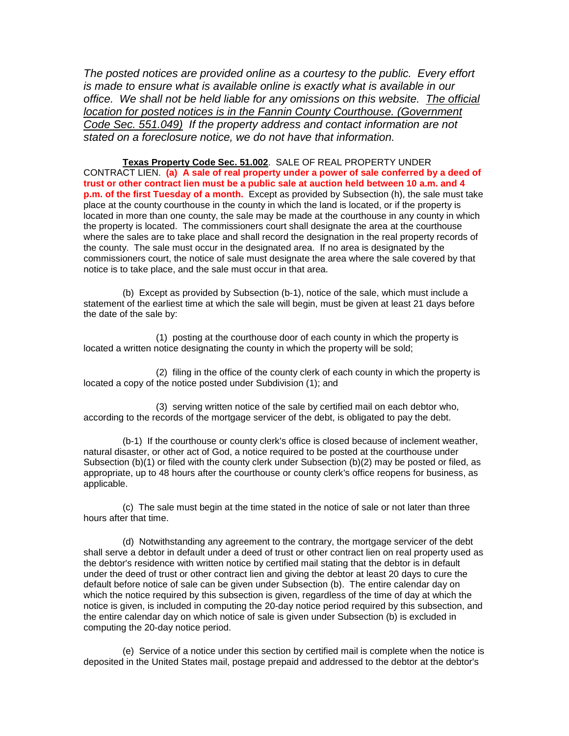*The posted notices are provided online as a courtesy to the public. Every effort is made to ensure what is available online is exactly what is available in our office. We shall not be held liable for any omissions on this website. The official location for posted notices is in the Fannin County Courthouse. (Government Code Sec. 551.049) If the property address and contact information are not stated on a foreclosure notice, we do not have that information.*

**Texas Property Code Sec. 51.002**. SALE OF REAL PROPERTY UNDER CONTRACT LIEN. **(a) A sale of real property under a power of sale conferred by a deed of trust or other contract lien must be a public sale at auction held between 10 a.m. and 4 p.m. of the first Tuesday of a month.** Except as provided by Subsection (h), the sale must take place at the county courthouse in the county in which the land is located, or if the property is located in more than one county, the sale may be made at the courthouse in any county in which the property is located. The commissioners court shall designate the area at the courthouse where the sales are to take place and shall record the designation in the real property records of the county. The sale must occur in the designated area. If no area is designated by the commissioners court, the notice of sale must designate the area where the sale covered by that notice is to take place, and the sale must occur in that area.

(b) Except as provided by Subsection (b-1), notice of the sale, which must include a statement of the earliest time at which the sale will begin, must be given at least 21 days before the date of the sale by:

(1) posting at the courthouse door of each county in which the property is located a written notice designating the county in which the property will be sold;

(2) filing in the office of the county clerk of each county in which the property is located a copy of the notice posted under Subdivision (1); and

(3) serving written notice of the sale by certified mail on each debtor who, according to the records of the mortgage servicer of the debt, is obligated to pay the debt.

(b-1) If the courthouse or county clerk's office is closed because of inclement weather, natural disaster, or other act of God, a notice required to be posted at the courthouse under Subsection (b)(1) or filed with the county clerk under Subsection (b)(2) may be posted or filed, as appropriate, up to 48 hours after the courthouse or county clerk's office reopens for business, as applicable.

(c) The sale must begin at the time stated in the notice of sale or not later than three hours after that time.

(d) Notwithstanding any agreement to the contrary, the mortgage servicer of the debt shall serve a debtor in default under a deed of trust or other contract lien on real property used as the debtor's residence with written notice by certified mail stating that the debtor is in default under the deed of trust or other contract lien and giving the debtor at least 20 days to cure the default before notice of sale can be given under Subsection (b). The entire calendar day on which the notice required by this subsection is given, regardless of the time of day at which the notice is given, is included in computing the 20-day notice period required by this subsection, and the entire calendar day on which notice of sale is given under Subsection (b) is excluded in computing the 20-day notice period.

(e) Service of a notice under this section by certified mail is complete when the notice is deposited in the United States mail, postage prepaid and addressed to the debtor at the debtor's